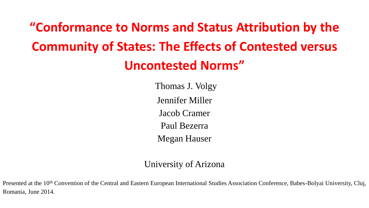# **"Conformance to Norms and Status Attribution by the Community of States: The Effects of Contested versus Uncontested Norms"**

Thomas J. Volgy Jennifer Miller Jacob Cramer Paul Bezerra Megan Hauser

#### University of Arizona

Presented at the 10<sup>th</sup> Convention of the Central and Eastern European International Studies Association Conference, Babes-Bolyai University, Cluj, Romania, June 2014.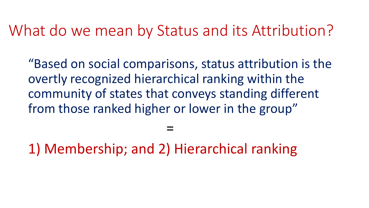# What do we mean by Status and its Attribution?

"Based on social comparisons, status attribution is the overtly recognized hierarchical ranking within the community of states that conveys standing different from those ranked higher or lower in the group"

1) Membership; and 2) Hierarchical ranking

=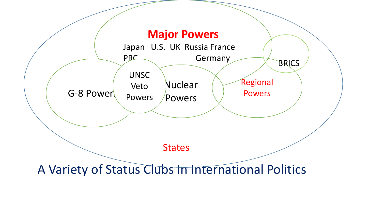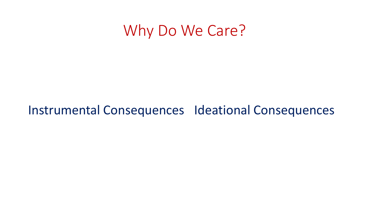# Why Do We Care?

### Instrumental Consequences Ideational Consequences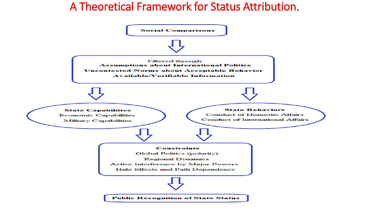#### A Theoretical Framework for Status Attribution.

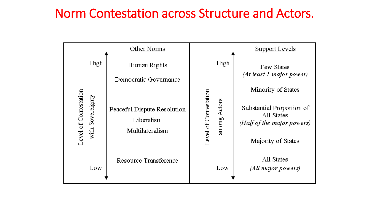### Norm Contestation across Structure and Actors.

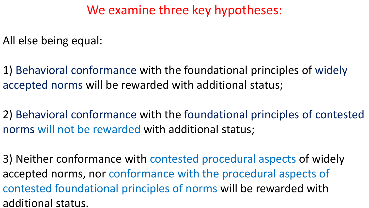### We examine three key hypotheses:

All else being equal:

1) Behavioral conformance with the foundational principles of widely accepted norms will be rewarded with additional status;

2) Behavioral conformance with the foundational principles of contested norms will not be rewarded with additional status;

3) Neither conformance with contested procedural aspects of widely accepted norms, nor conformance with the procedural aspects of contested foundational principles of norms will be rewarded with additional status.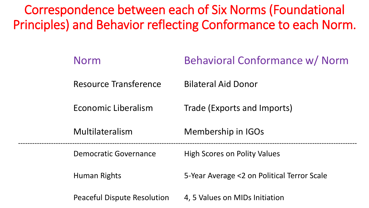Correspondence between each of Six Norms (Foundational Principles) and Behavior reflecting Conformance to each Norm.

| <b>Norm</b>                        | Behavioral Conformance w/ Norm              |
|------------------------------------|---------------------------------------------|
| <b>Resource Transference</b>       | <b>Bilateral Aid Donor</b>                  |
| Economic Liberalism                | Trade (Exports and Imports)                 |
| Multilateralism                    | Membership in IGOs                          |
| Democratic Governance              | <b>High Scores on Polity Values</b>         |
| <b>Human Rights</b>                | 5-Year Average <2 on Political Terror Scale |
| <b>Peaceful Dispute Resolution</b> | 4, 5 Values on MIDs Initiation              |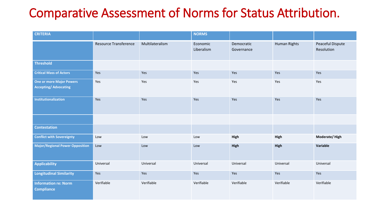## Comparative Assessment of Norms for Status Attribution.

| <b>CRITERIA</b>                                                 |                              |                 | <b>NORMS</b>           |                          |                     |                                |
|-----------------------------------------------------------------|------------------------------|-----------------|------------------------|--------------------------|---------------------|--------------------------------|
|                                                                 | <b>Resource Transference</b> | Multilateralism | Economic<br>Liberalism | Democratic<br>Governance | <b>Human Rights</b> | Peaceful Dispute<br>Resolution |
| <b>Threshold</b>                                                |                              |                 |                        |                          |                     |                                |
| <b>Critical Mass of Actors</b>                                  | Yes                          | Yes             | Yes                    | Yes                      | Yes                 | Yes                            |
| <b>One or more Major Powers</b><br><b>Accepting/ Advocating</b> | Yes                          | Yes             | Yes                    | Yes                      | Yes                 | Yes                            |
| Institutionalization                                            | Yes                          | Yes             | Yes                    | Yes                      | Yes                 | Yes                            |
|                                                                 |                              |                 |                        |                          |                     |                                |
| <b>Contestation</b>                                             |                              |                 |                        |                          |                     |                                |
| <b>Conflict with Sovereignty</b>                                | Low                          | Low             | Low                    | High                     | High                | Moderate/High                  |
| <b>Major/Regional Power Opposition</b>                          | Low                          | Low             | Low                    | High                     | High                | Variable                       |
| <b>Applicability</b>                                            | Universal                    | Universal       | Universal              | Universal                | Universal           | Universal                      |
| <b>Longitudinal Similarity</b>                                  | Yes                          | Yes             | Yes                    | Yes                      | Yes                 | Yes                            |
| <b>Information re: Norm</b><br><b>Compliance</b>                | Verifiable                   | Verifiable      | Verifiable             | Verifiable               | Verifiable          | Verifiable                     |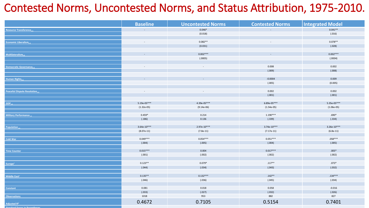#### Contested Norms, Uncontested Norms, and Status Attribution, 1975-2010.

|                                            | <b>Baseline</b>             | <b>Uncontested Norms</b> | <b>Contested Norms</b> | <b>Integrated Model</b> |
|--------------------------------------------|-----------------------------|--------------------------|------------------------|-------------------------|
| <b>Resource Transference<sub>t-5</sub></b> | $\mathcal{L}_{\mathcal{A}}$ | $0.046*$                 | $\sim$                 | $0.041**$               |
|                                            |                             | (0.018)                  |                        | (.016)                  |
|                                            |                             |                          |                        |                         |
| Economic Liberalism <sub>t-</sub>          | $\sim$                      | $0.082**$                | $\sim$                 | $0.078**$               |
|                                            |                             | (0.031)                  |                        | (.028)                  |
|                                            |                             |                          |                        |                         |
| Multilateralism $_{t,s}$                   | $\sim$                      | $0.002***$               | $\sim$                 | $0.002***$              |
|                                            |                             | (.0005)                  |                        | (.0004)                 |
|                                            |                             |                          |                        |                         |
| Democratic Governance <sub>t-1</sub>       |                             | $\sim$                   | 0.008                  | 0.002                   |
|                                            |                             |                          | (.009)                 | (.008)                  |
|                                            |                             |                          |                        |                         |
| Human Rights <sub>t-5</sub>                | $\sim$                      | $\sim$                   | $-0.0004$              | 0.009                   |
|                                            |                             |                          | (.005)                 | (0.005)                 |
|                                            | $\overline{\phantom{a}}$    |                          | 0.002                  | 0.002                   |
| Peaceful Dispute Resolution <sub>t-5</sub> |                             |                          | (.001)                 | (.001)                  |
|                                            |                             |                          |                        |                         |
| GDP <sub>ts</sub>                          | $5.19e-05***$               | $4.39e-05***$            | $6.89e-05***$          | $5.35e-05***$           |
|                                            | $(1.32e-05)$                | $(9.14e-06)$             | $(1.54e-05)$           | $(1.06e-05)$            |
|                                            |                             |                          |                        |                         |
| Military Performance                       | $0.459*$                    | 0.214                    | $1.190***$             | $.690*$                 |
|                                            | (.186)                      | 0.136                    | (.339)                 | (.334)                  |
|                                            |                             |                          |                        |                         |
| Population                                 | $3.64e-10***$               | $2.97e-10***$            | $3.74e-10***$          | $3.26e-10***$           |
|                                            | $(8.07e-11)$                | $(7.8e-11)$              | $(7.17e-11)$           | $(6.8e-11)$             |
|                                            |                             |                          |                        |                         |
| Cold War                                   | $0.049***$                  | $0.054***$               | $0.051***$             | $.058***$               |
|                                            | (.004)                      | (.005)                   | (.004)                 | (.005)                  |
| <b>Time Counter</b>                        | $0.015***$                  | 0.004                    | $0.017***$             | $.005*$                 |
|                                            | (.001)                      | (.002)                   | (.002)                 | (.002)                  |
|                                            |                             |                          |                        |                         |
| Europe <sup>+</sup>                        | $0.123**$                   | $0.079*$                 | $.117**$               | $.073*$                 |
|                                            | (.044)                      | (.034)                   | (.043)                 | (.032)                  |
|                                            |                             |                          |                        |                         |
| Middle East <sup>+</sup>                   | $0.135**$                   | $0.132***$               | $.142**$               | $.134***$               |
|                                            | (.046)                      | (.036)                   | (.045)                 | (.034)                  |
|                                            |                             |                          |                        |                         |
| Constant                                   | 0.081                       | 0.018                    | 0.058                  | $-0.016$                |
|                                            | (.033)                      | (.027)                   | (.032)                 | (.026)                  |
| <b>Observations</b>                        | 1018                        | 953                      | 882                    | 827                     |
|                                            | 0.4672                      | 0.7105                   | 0.5154                 | 0.7401                  |
| Adjusted R <sup>2</sup>                    |                             |                          |                        |                         |
|                                            |                             |                          |                        |                         |